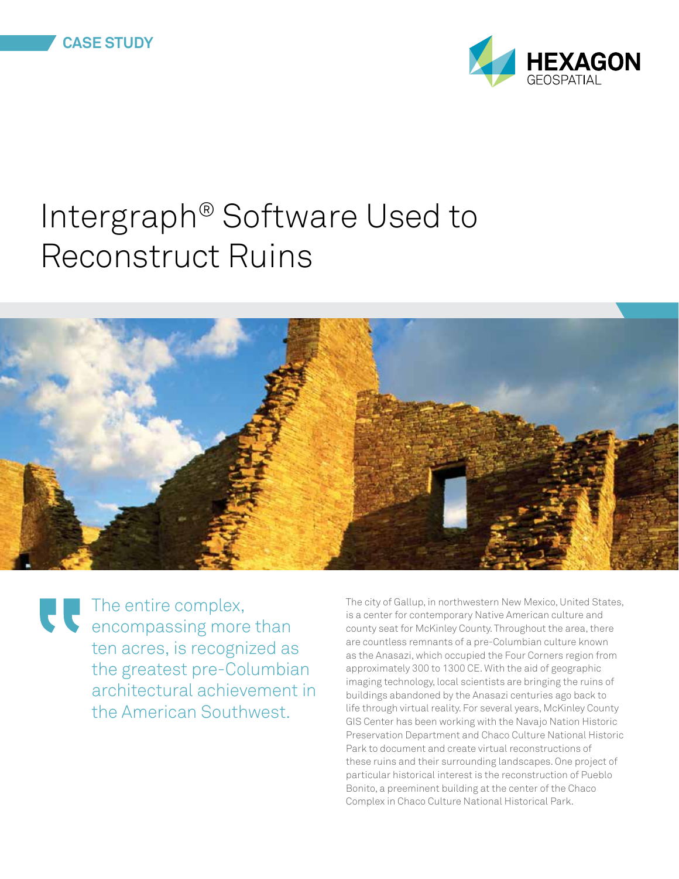

## Intergraph® Software Used to Reconstruct Ruins



The entire complex, encompassing more than ten acres, is recognized as the greatest pre-Columbian architectural achievement in the American Southwest.

The city of Gallup, in northwestern New Mexico, United States, is a center for contemporary Native American culture and county seat for McKinley County. Throughout the area, there are countless remnants of a pre-Columbian culture known as the Anasazi, which occupied the Four Corners region from approximately 300 to 1300 CE. With the aid of geographic imaging technology, local scientists are bringing the ruins of buildings abandoned by the Anasazi centuries ago back to life through virtual reality. For several years, McKinley County GIS Center has been working with the Navajo Nation Historic Preservation Department and Chaco Culture National Historic Park to document and create virtual reconstructions of these ruins and their surrounding landscapes. One project of particular historical interest is the reconstruction of Pueblo Bonito, a preeminent building at the center of the Chaco Complex in Chaco Culture National Historical Park.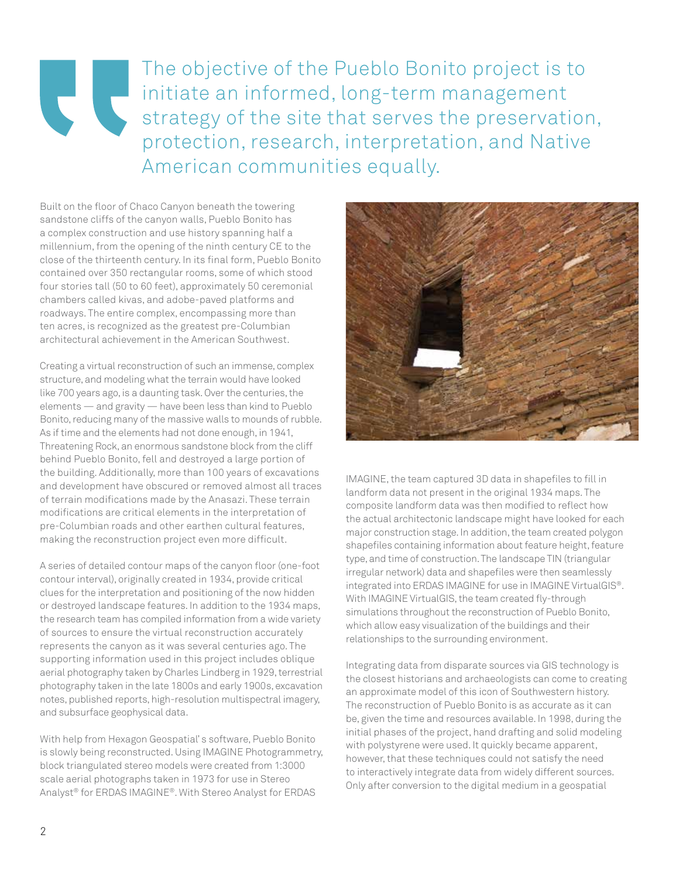## The objective of the Pueblo Bonito project is to **CO** initiate an informed, long-term management strategy of the site that serves the preservation, protection, research, interpretation, and Native American communities equally.

Built on the floor of Chaco Canyon beneath the towering sandstone cliffs of the canyon walls, Pueblo Bonito has a complex construction and use history spanning half a millennium, from the opening of the ninth century CE to the close of the thirteenth century. In its final form, Pueblo Bonito contained over 350 rectangular rooms, some of which stood four stories tall (50 to 60 feet), approximately 50 ceremonial chambers called kivas, and adobe-paved platforms and roadways. The entire complex, encompassing more than ten acres, is recognized as the greatest pre-Columbian architectural achievement in the American Southwest.

Creating a virtual reconstruction of such an immense, complex structure, and modeling what the terrain would have looked like 700 years ago, is a daunting task. Over the centuries, the elements — and gravity — have been less than kind to Pueblo Bonito, reducing many of the massive walls to mounds of rubble. As if time and the elements had not done enough, in 1941, Threatening Rock, an enormous sandstone block from the cliff behind Pueblo Bonito, fell and destroyed a large portion of the building. Additionally, more than 100 years of excavations and development have obscured or removed almost all traces of terrain modifications made by the Anasazi. These terrain modifications are critical elements in the interpretation of pre-Columbian roads and other earthen cultural features, making the reconstruction project even more difficult.

A series of detailed contour maps of the canyon floor (one-foot contour interval), originally created in 1934, provide critical clues for the interpretation and positioning of the now hidden or destroyed landscape features. In addition to the 1934 maps, the research team has compiled information from a wide variety of sources to ensure the virtual reconstruction accurately represents the canyon as it was several centuries ago. The supporting information used in this project includes oblique aerial photography taken by Charles Lindberg in 1929, terrestrial photography taken in the late 1800s and early 1900s, excavation notes, published reports, high-resolution multispectral imagery, and subsurface geophysical data.

With help from Hexagon Geospatial' s software, Pueblo Bonito is slowly being reconstructed. Using IMAGINE Photogrammetry, block triangulated stereo models were created from 1:3000 scale aerial photographs taken in 1973 for use in Stereo Analyst® for ERDAS IMAGINE®. With Stereo Analyst for ERDAS



IMAGINE, the team captured 3D data in shapefiles to fill in landform data not present in the original 1934 maps. The composite landform data was then modified to reflect how the actual architectonic landscape might have looked for each major construction stage. In addition, the team created polygon shapefiles containing information about feature height, feature type, and time of construction. The landscape TIN (triangular irregular network) data and shapefiles were then seamlessly integrated into ERDAS IMAGINE for use in IMAGINE VirtualGIS®. With IMAGINE VirtualGIS, the team created fly-through simulations throughout the reconstruction of Pueblo Bonito, which allow easy visualization of the buildings and their relationships to the surrounding environment.

Integrating data from disparate sources via GIS technology is the closest historians and archaeologists can come to creating an approximate model of this icon of Southwestern history. The reconstruction of Pueblo Bonito is as accurate as it can be, given the time and resources available. In 1998, during the initial phases of the project, hand drafting and solid modeling with polystyrene were used. It quickly became apparent, however, that these techniques could not satisfy the need to interactively integrate data from widely different sources. Only after conversion to the digital medium in a geospatial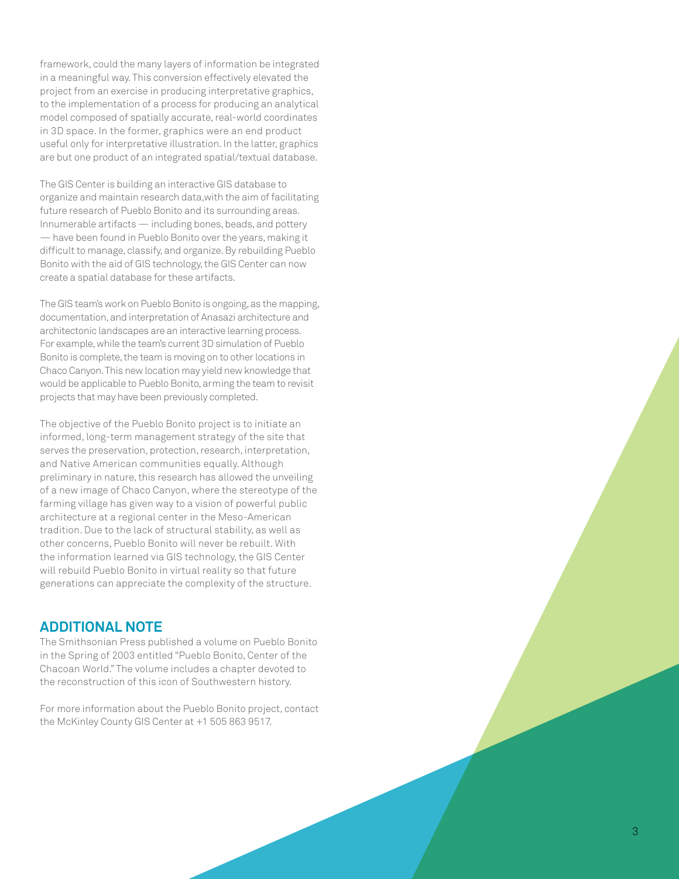framework, could the many layers of information be integrated in a meaningful way. This conversion effectively elevated the project from an exercise in producing interpretative graphics, to the implementation of a process for producing an analytical model composed of spatially accurate, real-world coordinates in 3D space. In the former, graphics were an end product useful only for interpretative illustration. In the latter, graphics are but one product of an integrated spatial/textual database.

The GIS Center is building an interactive GIS database to organize and maintain research data,with the aim of facilitating future research of Pueblo Bonito and its surrounding areas. Innumerable artifacts — including bones, beads, and pottery — have been found in Pueblo Bonito over the years, making it difficult to manage, classify, and organize. By rebuilding Pueblo Bonito with the aid of GIS technology, the GIS Center can now create a spatial database for these artifacts.

The GIS team's work on Pueblo Bonito is ongoing, as the mapping, documentation, and interpretation of Anasazi architecture and architectonic landscapes are an interactive learning process. For example, while the team's current 3D simulation of Pueblo Bonito is complete, the team is moving on to other locations in Chaco Canyon. This new location may yield new knowledge that would be applicable to Pueblo Bonito, arming the team to revisit projects that may have been previously completed.

The objective of the Pueblo Bonito project is to initiate an informed, long-term management strategy of the site that serves the preservation, protection, research, interpretation, and Native American communities equally. Although preliminary in nature, this research has allowed the unveiling of a new image of Chaco Canyon, where the stereotype of the farming village has given way to a vision of powerful public architecture at a regional center in the Meso-American tradition. Due to the lack of structural stability, as well as other concerns, Pueblo Bonito will never be rebuilt. With the information learned via GIS technology, the GIS Center will rebuild Pueblo Bonito in virtual reality so that future generations can appreciate the complexity of the structure.

## **ADDITIONAL NOTE**

The Smithsonian Press published a volume on Pueblo Bonito in the Spring of 2003 entitled "Pueblo Bonito, Center of the Chacoan World." The volume includes a chapter devoted to the reconstruction of this icon of Southwestern history.

For more information about the Pueblo Bonito project, contact the McKinley County GIS Center at +1 505 863 9517.